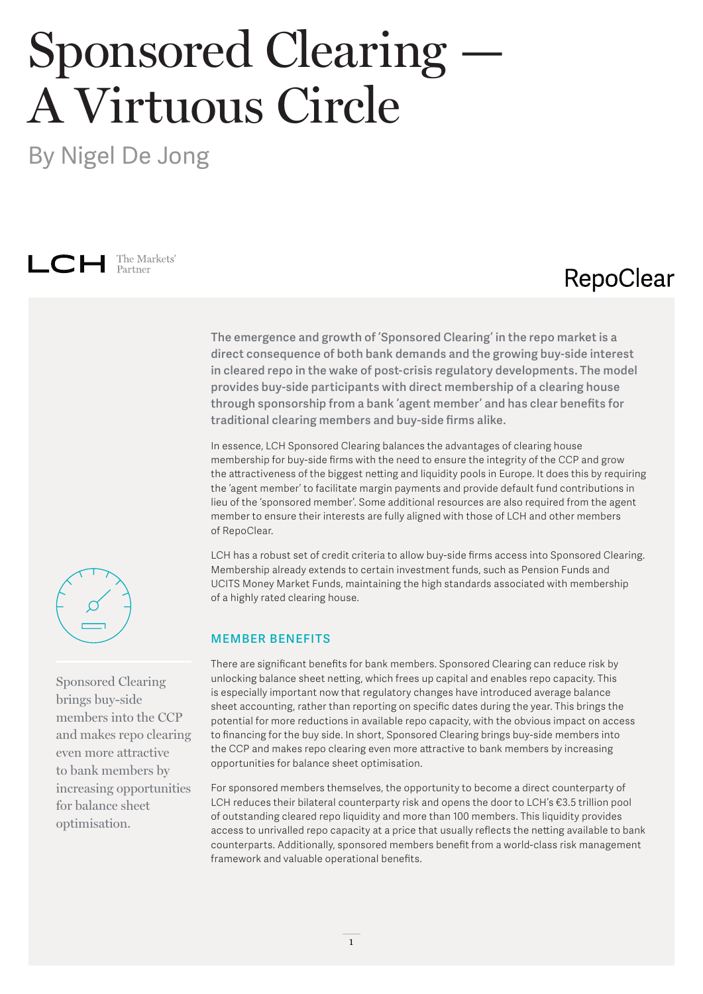# Sponsored Clearing — A Virtuous Circle

By Nigel De Jong



### RepoClear

**The emergence and growth of 'Sponsored Clearing' in the repo market is a direct consequence of both bank demands and the growing buy-side interest in cleared repo in the wake of post-crisis regulatory developments. The model provides buy-side participants with direct membership of a clearing house through sponsorship from a bank 'agent member' and has clear benefits for traditional clearing members and buy-side firms alike.** 

In essence, LCH Sponsored Clearing balances the advantages of clearing house membership for buy-side firms with the need to ensure the integrity of the CCP and grow the attractiveness of the biggest netting and liquidity pools in Europe. It does this by requiring the 'agent member' to facilitate margin payments and provide default fund contributions in lieu of the 'sponsored member'. Some additional resources are also required from the agent member to ensure their interests are fully aligned with those of LCH and other members of RepoClear.

LCH has a robust set of credit criteria to allow buy-side firms access into Sponsored Clearing. Membership already extends to certain investment funds, such as Pension Funds and UCITS Money Market Funds, maintaining the high standards associated with membership of a highly rated clearing house.

#### **MEMBER BENEFITS**

There are significant benefits for bank members. Sponsored Clearing can reduce risk by unlocking balance sheet netting, which frees up capital and enables repo capacity. This is especially important now that regulatory changes have introduced average balance sheet accounting, rather than reporting on specific dates during the year. This brings the potential for more reductions in available repo capacity, with the obvious impact on access to financing for the buy side. In short, Sponsored Clearing brings buy-side members into the CCP and makes repo clearing even more attractive to bank members by increasing opportunities for balance sheet optimisation.

For sponsored members themselves, the opportunity to become a direct counterparty of LCH reduces their bilateral counterparty risk and opens the door to LCH's €3.5 trillion pool of outstanding cleared repo liquidity and more than 100 members. This liquidity provides access to unrivalled repo capacity at a price that usually reflects the netting available to bank counterparts. Additionally, sponsored members benefit from a world-class risk management framework and valuable operational benefits.



Sponsored Clearing brings buy-side members into the CCP and makes repo clearing even more attractive to bank members by increasing opportunities for balance sheet optimisation.